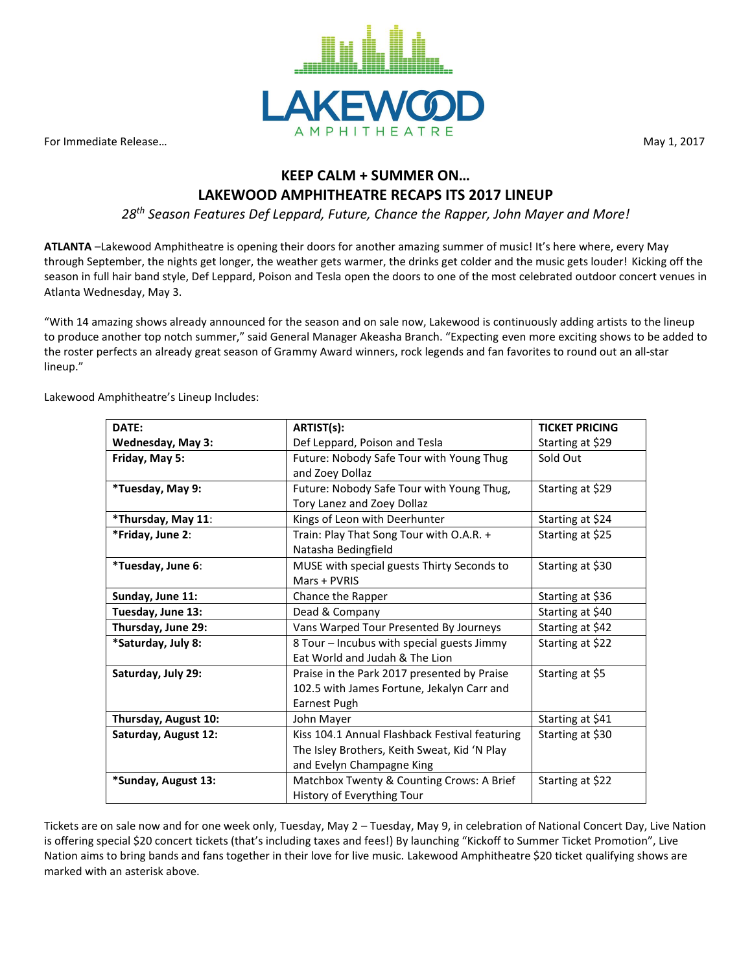

## **KEEP CALM + SUMMER ON… LAKEWOOD AMPHITHEATRE RECAPS ITS 2017 LINEUP**

*28th Season Features Def Leppard, Future, Chance the Rapper, John Mayer and More!*

**ATLANTA** –Lakewood Amphitheatre is opening their doors for another amazing summer of music! It's here where, every May through September, the nights get longer, the weather gets warmer, the drinks get colder and the music gets louder! Kicking off the season in full hair band style, Def Leppard, Poison and Tesla open the doors to one of the most celebrated outdoor concert venues in Atlanta Wednesday, May 3.

"With 14 amazing shows already announced for the season and on sale now, Lakewood is continuously adding artists to the lineup to produce another top notch summer," said General Manager Akeasha Branch. "Expecting even more exciting shows to be added to the roster perfects an already great season of Grammy Award winners, rock legends and fan favorites to round out an all-star lineup."

| DATE:                    | ARTIST(s):                                     | <b>TICKET PRICING</b> |
|--------------------------|------------------------------------------------|-----------------------|
| <b>Wednesday, May 3:</b> | Def Leppard, Poison and Tesla                  | Starting at \$29      |
| Friday, May 5:           | Future: Nobody Safe Tour with Young Thug       | Sold Out              |
|                          | and Zoey Dollaz                                |                       |
| *Tuesday, May 9:         | Future: Nobody Safe Tour with Young Thug,      | Starting at \$29      |
|                          | Tory Lanez and Zoey Dollaz                     |                       |
| *Thursday, May 11:       | Kings of Leon with Deerhunter                  | Starting at \$24      |
| *Friday, June 2:         | Train: Play That Song Tour with O.A.R. +       | Starting at \$25      |
|                          | Natasha Bedingfield                            |                       |
| *Tuesday, June 6:        | MUSE with special guests Thirty Seconds to     | Starting at \$30      |
|                          | Mars + PVRIS                                   |                       |
| Sunday, June 11:         | Chance the Rapper                              | Starting at \$36      |
| Tuesday, June 13:        | Dead & Company                                 | Starting at \$40      |
| Thursday, June 29:       | Vans Warped Tour Presented By Journeys         | Starting at \$42      |
| *Saturday, July 8:       | 8 Tour - Incubus with special guests Jimmy     | Starting at \$22      |
|                          | Eat World and Judah & The Lion                 |                       |
| Saturday, July 29:       | Praise in the Park 2017 presented by Praise    | Starting at \$5       |
|                          | 102.5 with James Fortune, Jekalyn Carr and     |                       |
|                          | Earnest Pugh                                   |                       |
| Thursday, August 10:     | John Mayer                                     | Starting at \$41      |
| Saturday, August 12:     | Kiss 104.1 Annual Flashback Festival featuring | Starting at \$30      |
|                          | The Isley Brothers, Keith Sweat, Kid 'N Play   |                       |
|                          | and Evelyn Champagne King                      |                       |
| *Sunday, August 13:      | Matchbox Twenty & Counting Crows: A Brief      | Starting at \$22      |
|                          | History of Everything Tour                     |                       |

Lakewood Amphitheatre's Lineup Includes:

Tickets are on sale now and for one week only, Tuesday, May 2 – Tuesday, May 9, in celebration of National Concert Day, Live Nation is offering special \$20 concert tickets (that's including taxes and fees!) By launching "Kickoff to Summer Ticket Promotion", Live Nation aims to bring bands and fans together in their love for live music. Lakewood Amphitheatre \$20 ticket qualifying shows are marked with an asterisk above.